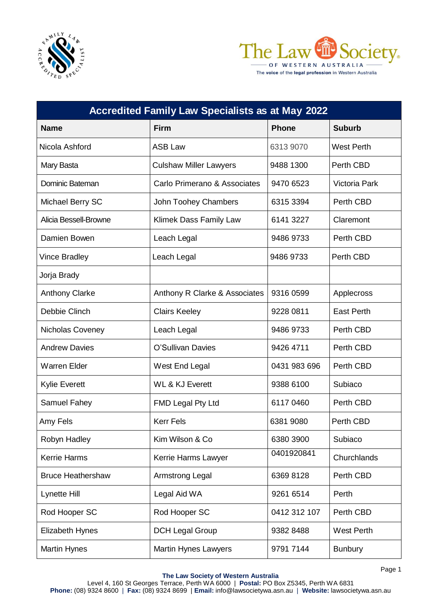



The voice of the legal profession in Western Australia

| <b>Accredited Family Law Specialists as at May 2022</b> |                               |              |                      |  |  |
|---------------------------------------------------------|-------------------------------|--------------|----------------------|--|--|
| <b>Name</b>                                             | <b>Firm</b>                   | <b>Phone</b> | <b>Suburb</b>        |  |  |
| Nicola Ashford                                          | <b>ASB Law</b>                | 6313 9070    | <b>West Perth</b>    |  |  |
| Mary Basta                                              | <b>Culshaw Miller Lawyers</b> | 9488 1300    | Perth CBD            |  |  |
| Dominic Bateman                                         | Carlo Primerano & Associates  | 9470 6523    | <b>Victoria Park</b> |  |  |
| Michael Berry SC                                        | John Toohey Chambers          | 6315 3394    | Perth CBD            |  |  |
| Alicia Bessell-Browne                                   | Klimek Dass Family Law        | 6141 3227    | Claremont            |  |  |
| Damien Bowen                                            | Leach Legal                   | 9486 9733    | Perth CBD            |  |  |
| <b>Vince Bradley</b>                                    | Leach Legal                   | 9486 9733    | Perth CBD            |  |  |
| Jorja Brady                                             |                               |              |                      |  |  |
| <b>Anthony Clarke</b>                                   | Anthony R Clarke & Associates | 9316 0599    | Applecross           |  |  |
| Debbie Clinch                                           | <b>Clairs Keeley</b>          | 9228 0811    | <b>East Perth</b>    |  |  |
| Nicholas Coveney                                        | Leach Legal                   | 9486 9733    | Perth CBD            |  |  |
| <b>Andrew Davies</b>                                    | O'Sullivan Davies             | 9426 4711    | Perth CBD            |  |  |
| <b>Warren Elder</b>                                     | West End Legal                | 0431 983 696 | Perth CBD            |  |  |
| <b>Kylie Everett</b>                                    | <b>WL &amp; KJ Everett</b>    | 9388 6100    | Subiaco              |  |  |
| Samuel Fahey                                            | FMD Legal Pty Ltd             | 6117 0460    | Perth CBD            |  |  |
| Amy Fels                                                | <b>Kerr Fels</b>              | 6381 9080    | Perth CBD            |  |  |
| Robyn Hadley                                            | Kim Wilson & Co               | 6380 3900    | Subiaco              |  |  |
| <b>Kerrie Harms</b>                                     | Kerrie Harms Lawyer           | 0401920841   | Churchlands          |  |  |
| <b>Bruce Heathershaw</b>                                | Armstrong Legal               | 6369 8128    | Perth CBD            |  |  |
| Lynette Hill                                            | Legal Aid WA                  | 9261 6514    | Perth                |  |  |
| Rod Hooper SC                                           | Rod Hooper SC                 | 0412 312 107 | Perth CBD            |  |  |
| <b>Elizabeth Hynes</b>                                  | <b>DCH Legal Group</b>        | 9382 8488    | <b>West Perth</b>    |  |  |
| <b>Martin Hynes</b>                                     | <b>Martin Hynes Lawyers</b>   | 9791 7144    | <b>Bunbury</b>       |  |  |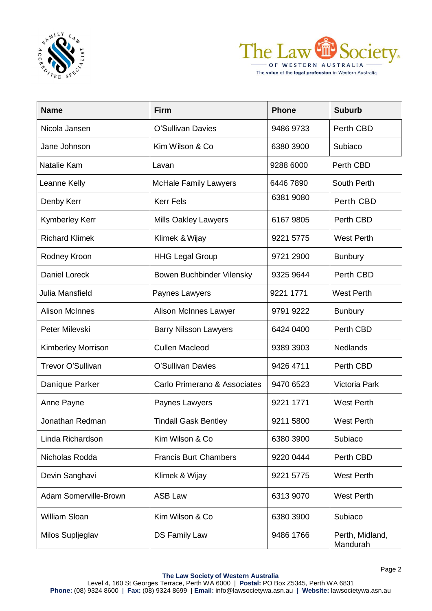



The voice of the legal profession in Western Australia

| <b>Name</b>           | <b>Firm</b>                  | <b>Phone</b> | <b>Suburb</b>               |
|-----------------------|------------------------------|--------------|-----------------------------|
| Nicola Jansen         | O'Sullivan Davies            | 9486 9733    | Perth CBD                   |
| Jane Johnson          | Kim Wilson & Co              | 6380 3900    | Subiaco                     |
| Natalie Kam           | Lavan                        | 9288 6000    | Perth CBD                   |
| Leanne Kelly          | <b>McHale Family Lawyers</b> | 6446 7890    | South Perth                 |
| Denby Kerr            | <b>Kerr Fels</b>             | 6381 9080    | Perth CBD                   |
| Kymberley Kerr        | Mills Oakley Lawyers         | 6167 9805    | Perth CBD                   |
| <b>Richard Klimek</b> | Klimek & Wijay               | 9221 5775    | <b>West Perth</b>           |
| Rodney Kroon          | <b>HHG Legal Group</b>       | 9721 2900    | <b>Bunbury</b>              |
| <b>Daniel Loreck</b>  | Bowen Buchbinder Vilensky    | 9325 9644    | Perth CBD                   |
| Julia Mansfield       | Paynes Lawyers               | 9221 1771    | <b>West Perth</b>           |
| <b>Alison McInnes</b> | Alison McInnes Lawyer        | 9791 9222    | <b>Bunbury</b>              |
| Peter Milevski        | <b>Barry Nilsson Lawyers</b> | 6424 0400    | Perth CBD                   |
| Kimberley Morrison    | <b>Cullen Macleod</b>        | 9389 3903    | <b>Nedlands</b>             |
| Trevor O'Sullivan     | O'Sullivan Davies            | 9426 4711    | Perth CBD                   |
| Danique Parker        | Carlo Primerano & Associates | 9470 6523    | Victoria Park               |
| Anne Payne            | Paynes Lawyers               | 9221 1771    | <b>West Perth</b>           |
| Jonathan Redman       | <b>Tindall Gask Bentley</b>  | 9211 5800    | <b>West Perth</b>           |
| Linda Richardson      | Kim Wilson & Co              | 6380 3900    | Subiaco                     |
| Nicholas Rodda        | <b>Francis Burt Chambers</b> | 9220 0444    | Perth CBD                   |
| Devin Sanghavi        | Klimek & Wijay               | 9221 5775    | <b>West Perth</b>           |
| Adam Somerville-Brown | <b>ASB Law</b>               | 6313 9070    | <b>West Perth</b>           |
| William Sloan         | Kim Wilson & Co              | 6380 3900    | Subiaco                     |
| Milos Supljeglav      | <b>DS Family Law</b>         | 9486 1766    | Perth, Midland,<br>Mandurah |